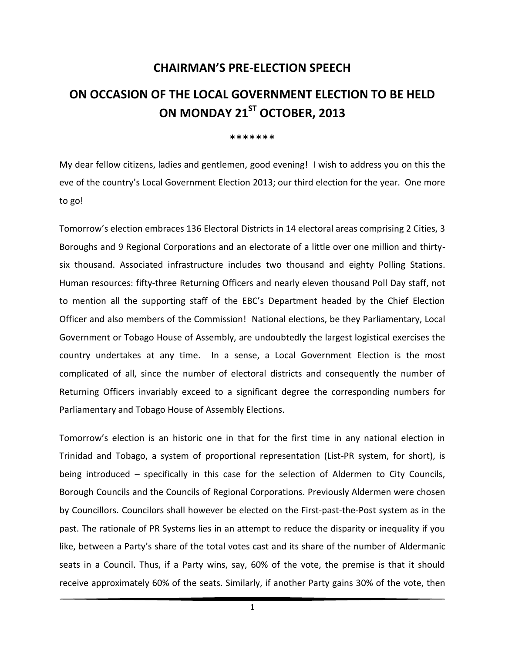## **CHAIRMAN'S PRE-ELECTION SPEECH**

## **ON OCCASION OF THE LOCAL GOVERNMENT ELECTION TO BE HELD ON MONDAY 21ST OCTOBER, 2013**

## \*\*\*\*\*\*\*

My dear fellow citizens, ladies and gentlemen, good evening! I wish to address you on this the eve of the country's Local Government Election 2013; our third election for the year. One more to go!

Tomorrow's election embraces 136 Electoral Districts in 14 electoral areas comprising 2 Cities, 3 Boroughs and 9 Regional Corporations and an electorate of a little over one million and thirtysix thousand. Associated infrastructure includes two thousand and eighty Polling Stations. Human resources: fifty-three Returning Officers and nearly eleven thousand Poll Day staff, not to mention all the supporting staff of the EBC's Department headed by the Chief Election Officer and also members of the Commission! National elections, be they Parliamentary, Local Government or Tobago House of Assembly, are undoubtedly the largest logistical exercises the country undertakes at any time. In a sense, a Local Government Election is the most complicated of all, since the number of electoral districts and consequently the number of Returning Officers invariably exceed to a significant degree the corresponding numbers for Parliamentary and Tobago House of Assembly Elections.

Tomorrow's election is an historic one in that for the first time in any national election in Trinidad and Tobago, a system of proportional representation (List-PR system, for short), is being introduced – specifically in this case for the selection of Aldermen to City Councils, Borough Councils and the Councils of Regional Corporations. Previously Aldermen were chosen by Councillors. Councilors shall however be elected on the First-past-the-Post system as in the past. The rationale of PR Systems lies in an attempt to reduce the disparity or inequality if you like, between a Party's share of the total votes cast and its share of the number of Aldermanic seats in a Council. Thus, if a Party wins, say, 60% of the vote, the premise is that it should receive approximately 60% of the seats. Similarly, if another Party gains 30% of the vote, then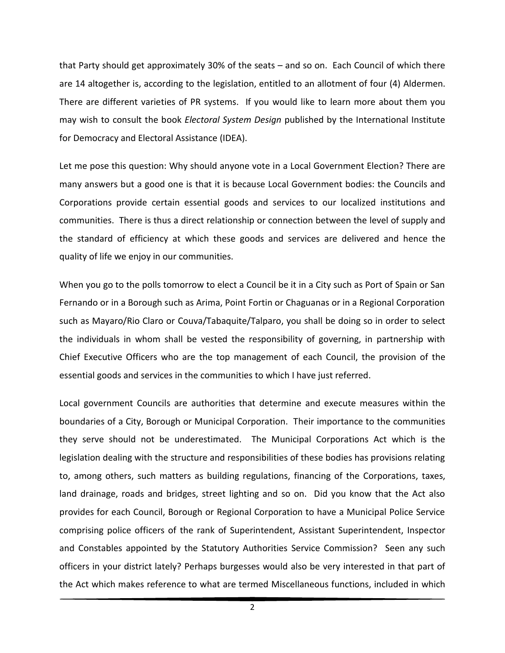that Party should get approximately 30% of the seats – and so on. Each Council of which there are 14 altogether is, according to the legislation, entitled to an allotment of four (4) Aldermen. There are different varieties of PR systems. If you would like to learn more about them you may wish to consult the book *Electoral System Design* published by the International Institute for Democracy and Electoral Assistance (IDEA).

Let me pose this question: Why should anyone vote in a Local Government Election? There are many answers but a good one is that it is because Local Government bodies: the Councils and Corporations provide certain essential goods and services to our localized institutions and communities. There is thus a direct relationship or connection between the level of supply and the standard of efficiency at which these goods and services are delivered and hence the quality of life we enjoy in our communities.

When you go to the polls tomorrow to elect a Council be it in a City such as Port of Spain or San Fernando or in a Borough such as Arima, Point Fortin or Chaguanas or in a Regional Corporation such as Mayaro/Rio Claro or Couva/Tabaquite/Talparo, you shall be doing so in order to select the individuals in whom shall be vested the responsibility of governing, in partnership with Chief Executive Officers who are the top management of each Council, the provision of the essential goods and services in the communities to which I have just referred.

Local government Councils are authorities that determine and execute measures within the boundaries of a City, Borough or Municipal Corporation. Their importance to the communities they serve should not be underestimated. The Municipal Corporations Act which is the legislation dealing with the structure and responsibilities of these bodies has provisions relating to, among others, such matters as building regulations, financing of the Corporations, taxes, land drainage, roads and bridges, street lighting and so on. Did you know that the Act also provides for each Council, Borough or Regional Corporation to have a Municipal Police Service comprising police officers of the rank of Superintendent, Assistant Superintendent, Inspector and Constables appointed by the Statutory Authorities Service Commission? Seen any such officers in your district lately? Perhaps burgesses would also be very interested in that part of the Act which makes reference to what are termed Miscellaneous functions, included in which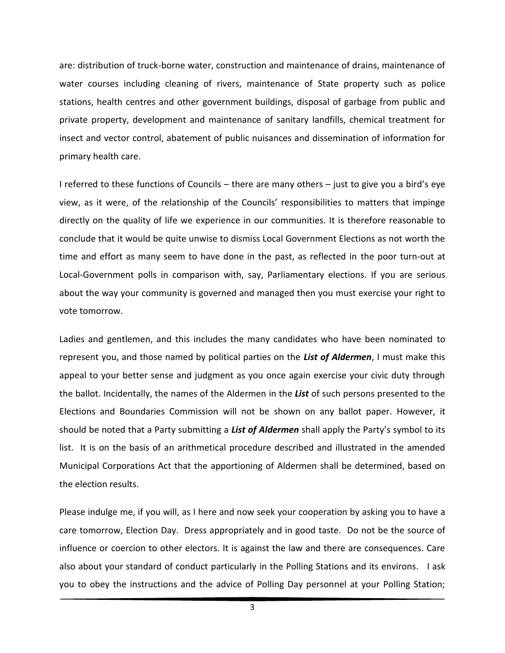are: distribution of truck-borne water, construction and maintenance of drains, maintenance of water courses including cleaning of rivers, maintenance of State property such as police stations, health centres and other government buildings, disposal of garbage from public and private property, development and maintenance of sanitary landfills, chemical treatment for insect and vector control, abatement of public nuisances and dissemination of information for primary health care.

I referred to these functions of Councils – there are many others – just to give you a bird's eye view, as it were, of the relationship of the Councils' responsibilities to matters that impinge directly on the quality of life we experience in our communities. It is therefore reasonable to conclude that it would be quite unwise to dismiss Local Government Elections as not worth the time and effort as many seem to have done in the past, as reflected in the poor turn-out at Local-Government polls in comparison with, say, Parliamentary elections. If you are serious about the way your community is governed and managed then you must exercise your right to vote tomorrow.

Ladies and gentlemen, and this includes the many candidates who have been nominated to represent you, and those named by political parties on the *List of Aldermen*, I must make this appeal to your better sense and judgment as you once again exercise your civic duty through the ballot. Incidentally, the names of the Aldermen in the *List* of such persons presented to the Elections and Boundaries Commission will not be shown on any ballot paper. However, it should be noted that a Party submitting a *List of Aldermen* shall apply the Party's symbol to its list. It is on the basis of an arithmetical procedure described and illustrated in the amended Municipal Corporations Act that the apportioning of Aldermen shall be determined, based on the election results.

Please indulge me, if you will, as I here and now seek your cooperation by asking you to have a care tomorrow, Election Day. Dress appropriately and in good taste. Do not be the source of influence or coercion to other electors. It is against the law and there are consequences. Care also about your standard of conduct particularly in the Polling Stations and its environs. I ask you to obey the instructions and the advice of Polling Day personnel at your Polling Station;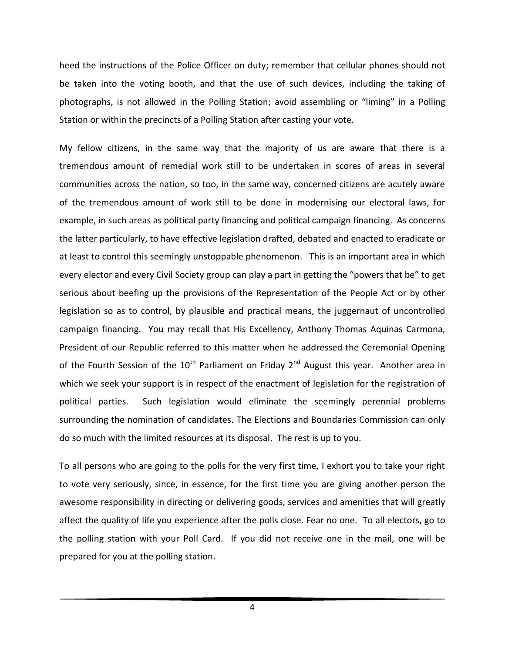heed the instructions of the Police Officer on duty; remember that cellular phones should not be taken into the voting booth, and that the use of such devices, including the taking of photographs, is not allowed in the Polling Station; avoid assembling or "liming" in a Polling Station or within the precincts of a Polling Station after casting your vote.

My fellow citizens, in the same way that the majority of us are aware that there is a tremendous amount of remedial work still to be undertaken in scores of areas in several communities across the nation, so too, in the same way, concerned citizens are acutely aware of the tremendous amount of work still to be done in modernising our electoral laws, for example, in such areas as political party financing and political campaign financing. As concerns the latter particularly, to have effective legislation drafted, debated and enacted to eradicate or at least to control this seemingly unstoppable phenomenon. This is an important area in which every elector and every Civil Society group can play a part in getting the "powers that be" to get serious about beefing up the provisions of the Representation of the People Act or by other legislation so as to control, by plausible and practical means, the juggernaut of uncontrolled campaign financing. You may recall that His Excellency, Anthony Thomas Aquinas Carmona, President of our Republic referred to this matter when he addressed the Ceremonial Opening of the Fourth Session of the  $10^{th}$  Parliament on Friday 2<sup>nd</sup> August this year. Another area in which we seek your support is in respect of the enactment of legislation for the registration of political parties. Such legislation would eliminate the seemingly perennial problems surrounding the nomination of candidates. The Elections and Boundaries Commission can only do so much with the limited resources at its disposal. The rest is up to you.

To all persons who are going to the polls for the very first time, I exhort you to take your right to vote very seriously, since, in essence, for the first time you are giving another person the awesome responsibility in directing or delivering goods, services and amenities that will greatly affect the quality of life you experience after the polls close. Fear no one. To all electors, go to the polling station with your Poll Card. If you did not receive one in the mail, one will be prepared for you at the polling station.